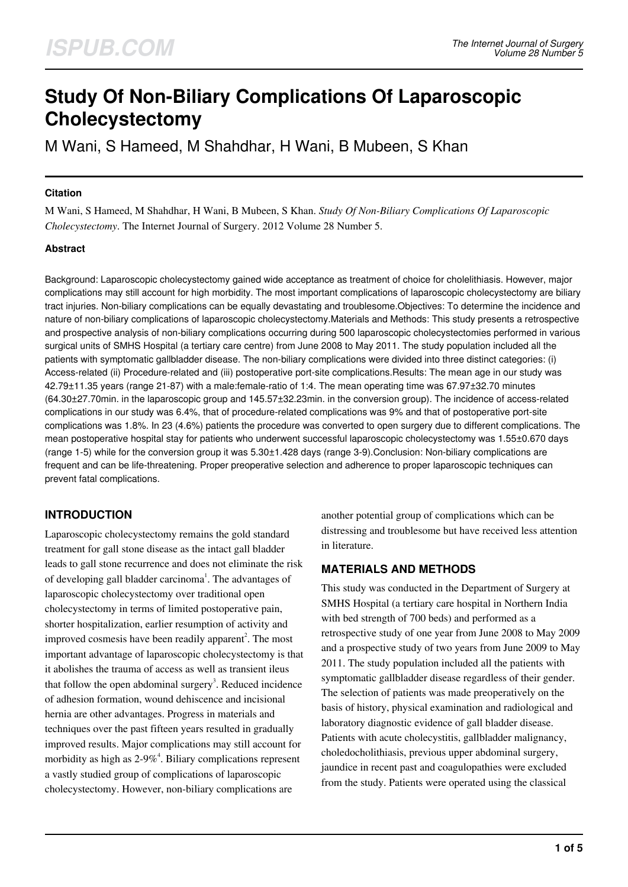# **Study Of Non-Biliary Complications Of Laparoscopic Cholecystectomy**

M Wani, S Hameed, M Shahdhar, H Wani, B Mubeen, S Khan

#### **Citation**

M Wani, S Hameed, M Shahdhar, H Wani, B Mubeen, S Khan. *Study Of Non-Biliary Complications Of Laparoscopic Cholecystectomy*. The Internet Journal of Surgery. 2012 Volume 28 Number 5.

#### **Abstract**

Background: Laparoscopic cholecystectomy gained wide acceptance as treatment of choice for cholelithiasis. However, major complications may still account for high morbidity. The most important complications of laparoscopic cholecystectomy are biliary tract injuries. Non-biliary complications can be equally devastating and troublesome.Objectives: To determine the incidence and nature of non-biliary complications of laparoscopic cholecystectomy.Materials and Methods: This study presents a retrospective and prospective analysis of non-biliary complications occurring during 500 laparoscopic cholecystectomies performed in various surgical units of SMHS Hospital (a tertiary care centre) from June 2008 to May 2011. The study population included all the patients with symptomatic gallbladder disease. The non-biliary complications were divided into three distinct categories: (i) Access-related (ii) Procedure-related and (iii) postoperative port-site complications.Results: The mean age in our study was 42.79±11.35 years (range 21-87) with a male:female-ratio of 1:4. The mean operating time was 67.97±32.70 minutes (64.30±27.70min. in the laparoscopic group and 145.57±32.23min. in the conversion group). The incidence of access-related complications in our study was 6.4%, that of procedure-related complications was 9% and that of postoperative port-site complications was 1.8%. In 23 (4.6%) patients the procedure was converted to open surgery due to different complications. The mean postoperative hospital stay for patients who underwent successful laparoscopic cholecystectomy was 1.55±0.670 days (range 1-5) while for the conversion group it was 5.30±1.428 days (range 3-9).Conclusion: Non-biliary complications are frequent and can be life-threatening. Proper preoperative selection and adherence to proper laparoscopic techniques can prevent fatal complications.

# **INTRODUCTION**

Laparoscopic cholecystectomy remains the gold standard treatment for gall stone disease as the intact gall bladder leads to gall stone recurrence and does not eliminate the risk of developing gall bladder carcinoma<sup>1</sup>. The advantages of laparoscopic cholecystectomy over traditional open cholecystectomy in terms of limited postoperative pain, shorter hospitalization, earlier resumption of activity and improved cosmesis have been readily apparent<sup>2</sup>. The most important advantage of laparoscopic cholecystectomy is that it abolishes the trauma of access as well as transient ileus that follow the open abdominal surgery<sup>3</sup>. Reduced incidence of adhesion formation, wound dehiscence and incisional hernia are other advantages. Progress in materials and techniques over the past fifteen years resulted in gradually improved results. Major complications may still account for morbidity as high as  $2\n-9\%$ <sup>4</sup>. Biliary complications represent a vastly studied group of complications of laparoscopic cholecystectomy. However, non-biliary complications are

another potential group of complications which can be distressing and troublesome but have received less attention in literature.

## **MATERIALS AND METHODS**

This study was conducted in the Department of Surgery at SMHS Hospital (a tertiary care hospital in Northern India with bed strength of 700 beds) and performed as a retrospective study of one year from June 2008 to May 2009 and a prospective study of two years from June 2009 to May 2011. The study population included all the patients with symptomatic gallbladder disease regardless of their gender. The selection of patients was made preoperatively on the basis of history, physical examination and radiological and laboratory diagnostic evidence of gall bladder disease. Patients with acute cholecystitis, gallbladder malignancy, choledocholithiasis, previous upper abdominal surgery, jaundice in recent past and coagulopathies were excluded from the study. Patients were operated using the classical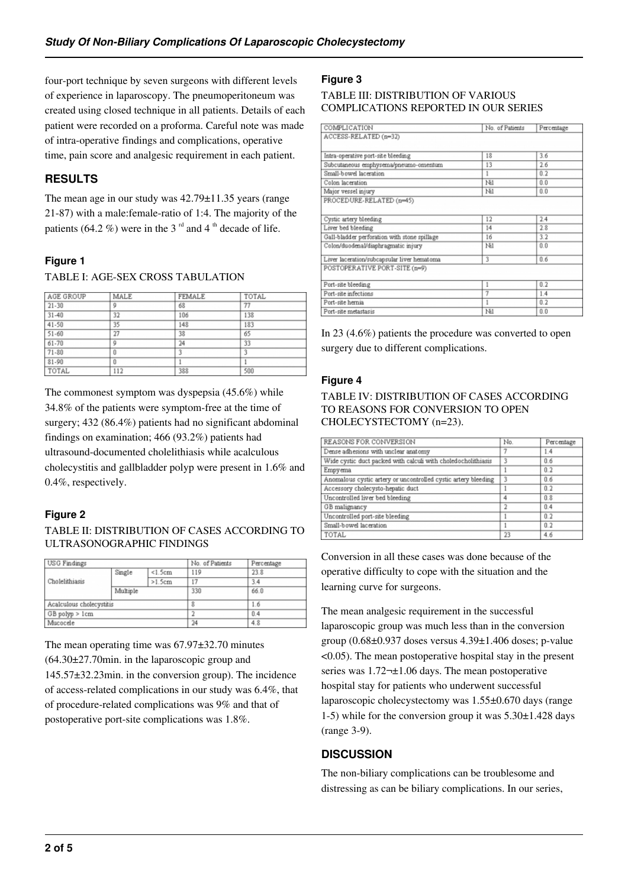four-port technique by seven surgeons with different levels of experience in laparoscopy. The pneumoperitoneum was created using closed technique in all patients. Details of each patient were recorded on a proforma. Careful note was made of intra-operative findings and complications, operative time, pain score and analgesic requirement in each patient.

# **RESULTS**

The mean age in our study was 42.79±11.35 years (range 21-87) with a male:female-ratio of 1:4. The majority of the patients (64.2 %) were in the 3<sup>rd</sup> and 4<sup>th</sup> decade of life.

## **Figure 1**

#### TABLE I: AGE-SEX CROSS TABULATION

| AGE GROUP | MALE | <b>FEMALE</b> | TOTAL |
|-----------|------|---------------|-------|
| $21 - 30$ | 9    | 68            | 77    |
| $31 - 40$ | 32   | 106           | 138   |
| 41-50     | 35   | 148           | 183   |
| $51 - 60$ | 27   | 38            | 65    |
| 61-70     | 9    | 24            | 33    |
| $71 - 80$ | 0    | 3             | 3     |
| 81-90     | 0    |               |       |
| TOTAL     | 112  | 388           | 500   |

The commonest symptom was dyspepsia (45.6%) while 34.8% of the patients were symptom-free at the time of surgery; 432 (86.4%) patients had no significant abdominal findings on examination; 466 (93.2%) patients had ultrasound-documented cholelithiasis while acalculous cholecystitis and gallbladder polyp were present in 1.6% and 0.4%, respectively.

## **Figure 2**

TABLE II: DISTRIBUTION OF CASES ACCORDING TO ULTRASONOGRAPHIC FINDINGS

| <b>USG</b> Findings      |          |         | No. of Patients | Percentage |
|--------------------------|----------|---------|-----------------|------------|
|                          | Single   | < 1.5cm | 119             | 23.8       |
| Cholelithiasis           |          | >1.5cm  | 17              | 3.4        |
|                          | Multiple |         | 330             | 66.0       |
| Acalculous cholecystitis |          |         | 8               | 1.6        |
| GB polyp > 1cm           |          |         | $\overline{2}$  | 0.4        |
| Mucocele                 |          |         | 24              | 4.8        |

The mean operating time was 67.97±32.70 minutes (64.30±27.70min. in the laparoscopic group and 145.57±32.23min. in the conversion group). The incidence of access-related complications in our study was 6.4%, that of procedure-related complications was 9% and that of postoperative port-site complications was 1.8%.

## **Figure 3**

#### TABLE III: DISTRIBUTION OF VARIOUS COMPLICATIONS REPORTED IN OUR SERIES

| COMPLICATION                                 | No. of Patients | Percentage |
|----------------------------------------------|-----------------|------------|
| ACCESS-RELATED (n=32)                        |                 |            |
| Intra-operative port-site bleeding           | 18              | 3.6        |
| Subcutaneous emphysema/pneumo-omentum        | 13              | 2.6        |
| Small-bowel laceration                       |                 | 0.2        |
| Colon laceration                             | Ni1             | 0.0        |
| Major vessel injury                          | Ni1             | 0.0        |
| PROCEDURE-RELATED (n=45)                     |                 |            |
|                                              |                 |            |
| Cystic artery bleeding                       | 12              | 2.4        |
| Liver bed bleeding                           | 14              | 2.8        |
| Gall-bladder perforation with stone spillage | 16              | 3.2        |
| Colon/duodenal/diaphragmatic injury          | Ni1             | 0.0        |
| Liver laceration/subcapsular liver hematoma  | 3               | 0.6        |
| POSTOPERATIVE PORT-SITE (n=9)                |                 |            |
| Port-site bleeding                           | 1               | 0.2        |
|                                              |                 |            |
| Port-site infections                         | 7               | 1.4        |
| Port-site hernia                             | 1               | 0.2        |
|                                              |                 |            |

In 23 (4.6%) patients the procedure was converted to open surgery due to different complications.

## **Figure 4**

#### TABLE IV: DISTRIBUTION OF CASES ACCORDING TO REASONS FOR CONVERSION TO OPEN CHOLECYSTECTOMY (n=23).

| REASONS FOR CONVERSION                                         | No. | Percentage |
|----------------------------------------------------------------|-----|------------|
| Dense adhesions with unclear anatomy                           | 7   | 1.4        |
| Wide cystic duct packed with calculi with choledocholithiasis  | 3   | 0.6        |
| Empyema                                                        |     | 0.2        |
| Anomalous cystic artery or uncontrolled cystic artery bleeding | 3   | 0.6        |
| Accessory cholecysto-hepatic duct                              |     | 0.2        |
| Uncontrolled liver bed bleeding                                | 4   | 0.8        |
| GB malignancy                                                  |     | 0.4        |
| Uncontrolled port-site bleeding                                |     | 0.2        |
| Small-bowel laceration                                         |     | 0.2        |
| TOTAL                                                          | 23  | 4.6        |

Conversion in all these cases was done because of the operative difficulty to cope with the situation and the learning curve for surgeons.

The mean analgesic requirement in the successful laparoscopic group was much less than in the conversion group  $(0.68\pm0.937)$  doses versus  $4.39\pm1.406$  doses; p-value <0.05). The mean postoperative hospital stay in the present series was  $1.72\nightharpoonup\pm1.06$  days. The mean postoperative hospital stay for patients who underwent successful laparoscopic cholecystectomy was 1.55±0.670 days (range 1-5) while for the conversion group it was 5.30±1.428 days (range 3-9).

# **DISCUSSION**

The non-biliary complications can be troublesome and distressing as can be biliary complications. In our series,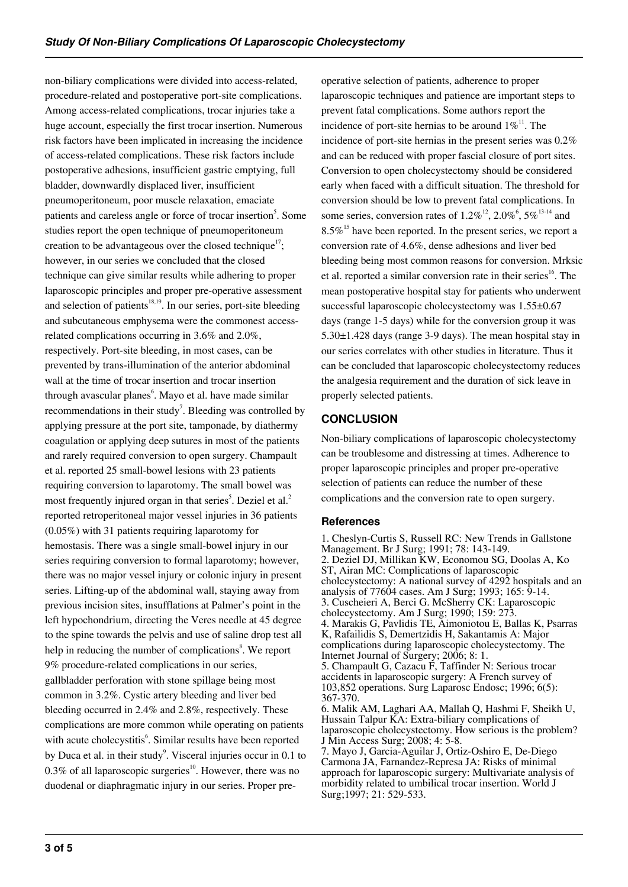non-biliary complications were divided into access-related, procedure-related and postoperative port-site complications. Among access-related complications, trocar injuries take a huge account, especially the first trocar insertion. Numerous risk factors have been implicated in increasing the incidence of access-related complications. These risk factors include postoperative adhesions, insufficient gastric emptying, full bladder, downwardly displaced liver, insufficient pneumoperitoneum, poor muscle relaxation, emaciate patients and careless angle or force of trocar insertion<sup>5</sup>. Some studies report the open technique of pneumoperitoneum creation to be advantageous over the closed technique<sup>17</sup>; however, in our series we concluded that the closed technique can give similar results while adhering to proper laparoscopic principles and proper pre-operative assessment and selection of patients<sup>18,19</sup>. In our series, port-site bleeding and subcutaneous emphysema were the commonest accessrelated complications occurring in 3.6% and 2.0%, respectively. Port-site bleeding, in most cases, can be prevented by trans-illumination of the anterior abdominal wall at the time of trocar insertion and trocar insertion through avascular planes<sup>6</sup>. Mayo et al. have made similar recommendations in their study<sup>7</sup>. Bleeding was controlled by applying pressure at the port site, tamponade, by diathermy coagulation or applying deep sutures in most of the patients and rarely required conversion to open surgery. Champault et al. reported 25 small-bowel lesions with 23 patients requiring conversion to laparotomy. The small bowel was most frequently injured organ in that series<sup>5</sup>. Deziel et al.<sup>2</sup> reported retroperitoneal major vessel injuries in 36 patients (0.05%) with 31 patients requiring laparotomy for hemostasis. There was a single small-bowel injury in our series requiring conversion to formal laparotomy; however, there was no major vessel injury or colonic injury in present series. Lifting-up of the abdominal wall, staying away from previous incision sites, insufflations at Palmer's point in the left hypochondrium, directing the Veres needle at 45 degree to the spine towards the pelvis and use of saline drop test all help in reducing the number of complications<sup>8</sup>. We report 9% procedure-related complications in our series, gallbladder perforation with stone spillage being most common in 3.2%. Cystic artery bleeding and liver bed bleeding occurred in 2.4% and 2.8%, respectively. These complications are more common while operating on patients with acute cholecystitis<sup>6</sup>. Similar results have been reported by Duca et al. in their study $\degree$ . Visceral injuries occur in 0.1 to 0.3% of all laparoscopic surgeries<sup>10</sup>. However, there was no duodenal or diaphragmatic injury in our series. Proper preoperative selection of patients, adherence to proper laparoscopic techniques and patience are important steps to prevent fatal complications. Some authors report the incidence of port-site hernias to be around  $1\%$ <sup>11</sup>. The incidence of port-site hernias in the present series was 0.2% and can be reduced with proper fascial closure of port sites. Conversion to open cholecystectomy should be considered early when faced with a difficult situation. The threshold for conversion should be low to prevent fatal complications. In some series, conversion rates of  $1.2\%^{12}$ ,  $2.0\%^{6}$ ,  $5\%^{13-14}$  and  $8.5\%$ <sup>15</sup> have been reported. In the present series, we report a conversion rate of 4.6%, dense adhesions and liver bed bleeding being most common reasons for conversion. Mrksic et al. reported a similar conversion rate in their series<sup>16</sup>. The mean postoperative hospital stay for patients who underwent successful laparoscopic cholecystectomy was 1.55±0.67 days (range 1-5 days) while for the conversion group it was 5.30±1.428 days (range 3-9 days). The mean hospital stay in our series correlates with other studies in literature. Thus it can be concluded that laparoscopic cholecystectomy reduces the analgesia requirement and the duration of sick leave in properly selected patients.

## **CONCLUSION**

Non-biliary complications of laparoscopic cholecystectomy can be troublesome and distressing at times. Adherence to proper laparoscopic principles and proper pre-operative selection of patients can reduce the number of these complications and the conversion rate to open surgery.

#### **References**

1. Cheslyn-Curtis S, Russell RC: New Trends in Gallstone Management. Br J Surg; 1991; 78: 143-149. 2. Deziel DJ, Millikan KW, Economou SG, Doolas A, Ko ST, Airan MC: Complications of laparoscopic cholecystectomy: A national survey of 4292 hospitals and an analysis of 77604 cases. Am J Surg; 1993; 165: 9-14. 3. Cuscheieri A, Berci G. McSherry CK: Laparoscopic cholecystectomy. Am J Surg; 1990; 159: 273. 4. Marakis G, Pavlidis TE, Aimoniotou E, Ballas K, Psarras K, Rafailidis S, Demertzidis H, Sakantamis A: Major complications during laparoscopic cholecystectomy. The Internet Journal of Surgery; 2006; 8: 1. 5. Champault G, Cazacu F, Taffinder N: Serious trocar accidents in laparoscopic surgery: A French survey of 103,852 operations. Surg Laparosc Endosc; 1996; 6(5): 367-370. 6. Malik AM, Laghari AA, Mallah Q, Hashmi F, Sheikh U, Hussain Talpur KA: Extra-biliary complications of laparoscopic cholecystectomy. How serious is the problem? J Min Access Surg; 2008; 4: 5-8. 7. Mayo J, Garcia-Aguilar J, Ortiz-Oshiro E, De-Diego

Carmona JA, Farnandez-Represa JA: Risks of minimal approach for laparoscopic surgery: Multivariate analysis of morbidity related to umbilical trocar insertion. World J Surg;1997; 21: 529-533.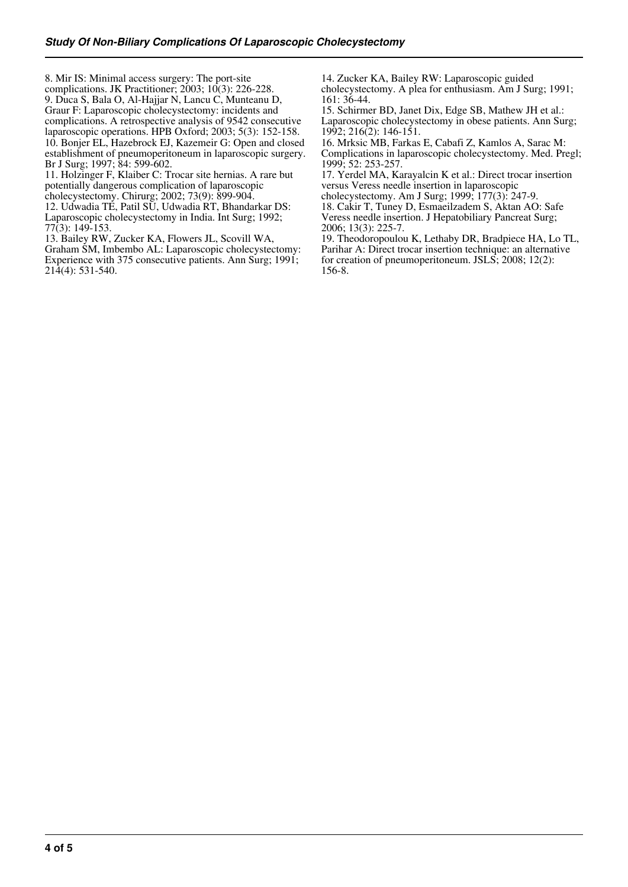8. Mir IS: Minimal access surgery: The port-site complications. JK Practitioner; 2003; 10(3): 226-228. 9. Duca S, Bala O, Al-Hajjar N, Lancu C, Munteanu D, Graur F: Laparoscopic cholecystectomy: incidents and complications. A retrospective analysis of 9542 consecutive laparoscopic operations. HPB Oxford; 2003; 5(3): 152-158. 10. Bonjer EL, Hazebrock EJ, Kazemeir G: Open and closed establishment of pneumoperitoneum in laparoscopic surgery. Br J Surg; 1997; 84: 599-602.

11. Holzinger F, Klaiber C: Trocar site hernias. A rare but potentially dangerous complication of laparoscopic cholecystectomy. Chirurg; 2002; 73(9): 899-904.

12. Udwadia TE, Patil SU, Udwadia RT, Bhandarkar DS: Laparoscopic cholecystectomy in India. Int Surg; 1992; 77(3): 149-153.

13. Bailey RW, Zucker KA, Flowers JL, Scovill WA, Graham SM, Imbembo AL: Laparoscopic cholecystectomy: Experience with 375 consecutive patients. Ann Surg; 1991; 214(4): 531-540.

14. Zucker KA, Bailey RW: Laparoscopic guided cholecystectomy. A plea for enthusiasm. Am J Surg; 1991; 161: 36-44.

15. Schirmer BD, Janet Dix, Edge SB, Mathew JH et al.: Laparoscopic cholecystectomy in obese patients. Ann Surg; 1992; 216(2): 146-151.

16. Mrksic MB, Farkas E, Cabafi Z, Kamlos A, Sarac M: Complications in laparoscopic cholecystectomy. Med. Pregl; 1999; 52: 253-257.

17. Yerdel MA, Karayalcin K et al.: Direct trocar insertion versus Veress needle insertion in laparoscopic

cholecystectomy. Am J Surg; 1999; 177(3): 247-9. 18. Cakir T, Tuney D, Esmaeilzadem S, Aktan AO: Safe Veress needle insertion. J Hepatobiliary Pancreat Surg; 2006; 13(3): 225-7.

19. Theodoropoulou K, Lethaby DR, Bradpiece HA, Lo TL, Parihar A: Direct trocar insertion technique: an alternative for creation of pneumoperitoneum. JSLS; 2008; 12(2): 156-8.